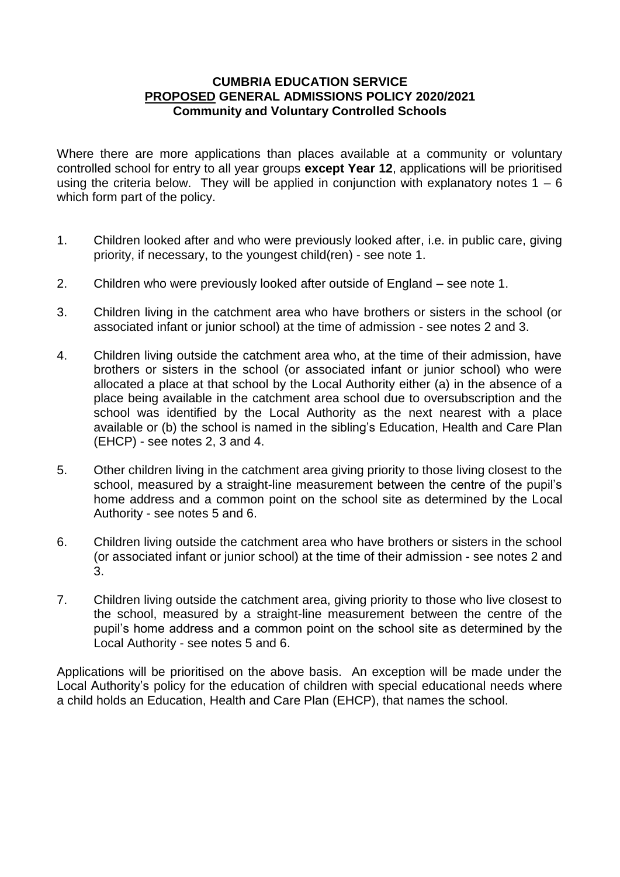## **CUMBRIA EDUCATION SERVICE PROPOSED GENERAL ADMISSIONS POLICY 2020/2021 Community and Voluntary Controlled Schools**

Where there are more applications than places available at a community or voluntary controlled school for entry to all year groups **except Year 12**, applications will be prioritised using the criteria below. They will be applied in conjunction with explanatory notes  $1 - 6$ which form part of the policy.

- 1. Children looked after and who were previously looked after, i.e. in public care, giving priority, if necessary, to the youngest child(ren) - see note 1.
- 2. Children who were previously looked after outside of England see note 1.
- 3. Children living in the catchment area who have brothers or sisters in the school (or associated infant or junior school) at the time of admission - see notes 2 and 3.
- 4. Children living outside the catchment area who, at the time of their admission, have brothers or sisters in the school (or associated infant or junior school) who were allocated a place at that school by the Local Authority either (a) in the absence of a place being available in the catchment area school due to oversubscription and the school was identified by the Local Authority as the next nearest with a place available or (b) the school is named in the sibling's Education, Health and Care Plan (EHCP) - see notes 2, 3 and 4.
- 5. Other children living in the catchment area giving priority to those living closest to the school, measured by a straight-line measurement between the centre of the pupil's home address and a common point on the school site as determined by the Local Authority - see notes 5 and 6.
- 6. Children living outside the catchment area who have brothers or sisters in the school (or associated infant or junior school) at the time of their admission - see notes 2 and 3.
- 7. Children living outside the catchment area, giving priority to those who live closest to the school, measured by a straight-line measurement between the centre of the pupil's home address and a common point on the school site as determined by the Local Authority - see notes 5 and 6.

Applications will be prioritised on the above basis. An exception will be made under the Local Authority's policy for the education of children with special educational needs where a child holds an Education, Health and Care Plan (EHCP), that names the school.